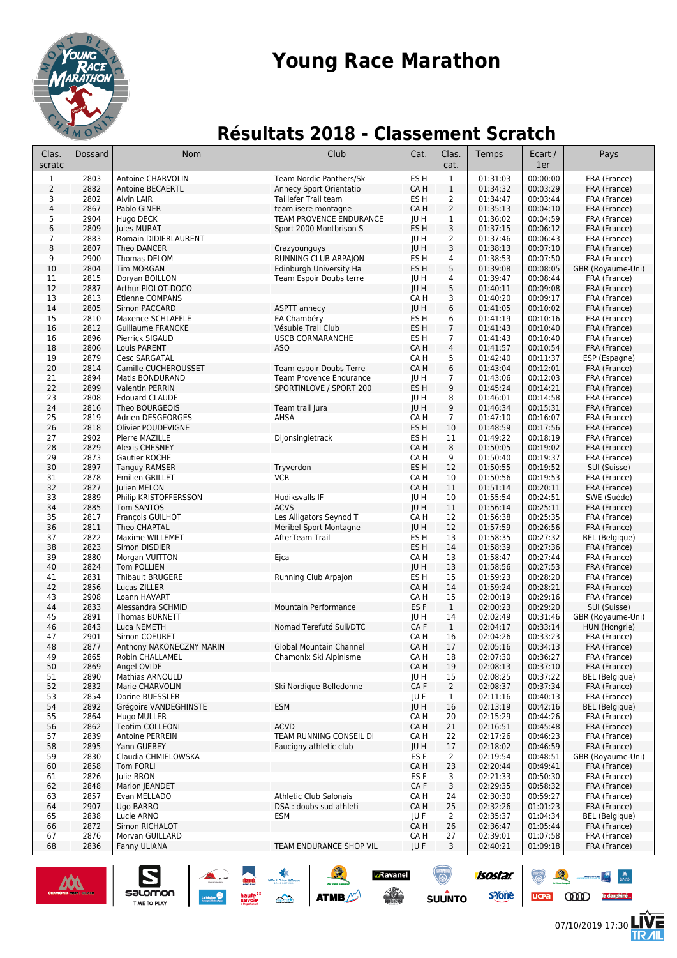

## **Young Race Marathon**

## **Résultats 2018 - Classement Scratch**

| Clas.<br>scratc         | Dossard      | Nom                                          | Club                                                     | Cat.                    | Clas.<br>cat.                  | Temps                | Ecart /<br>1er       | Pays                           |
|-------------------------|--------------|----------------------------------------------|----------------------------------------------------------|-------------------------|--------------------------------|----------------------|----------------------|--------------------------------|
| 1                       | 2803         | Antoine CHARVOLIN                            | Team Nordic Panthers/Sk                                  | ES <sub>H</sub>         | $\mathbf{1}$                   | 01:31:03             | 00:00:00             | FRA (France)                   |
| 2                       | 2882         | Antoine BECAERTL                             | Annecy Sport Orientatio                                  | CA H                    | $\mathbf{1}$                   | 01:34:32             | 00:03:29             | FRA (France)                   |
| 3                       | 2802         | Alvin LAIR                                   | Taillefer Trail team                                     | ES H                    | $\overline{2}$                 | 01:34:47             | 00:03:44             | FRA (France)                   |
| $\overline{\mathbf{4}}$ | 2867         | Pablo GINER                                  | team isere montagne                                      | CA H                    | $\overline{2}$                 | 01:35:13             | 00:04:10             | FRA (France)                   |
| 5                       | 2904         | Hugo DECK                                    | TEAM PROVENCE ENDURANCE                                  | JU H                    | 1                              | 01:36:02             | 00:04:59             | FRA (France)                   |
| 6                       | 2809         | <b>Iules MURAT</b>                           | Sport 2000 Montbrison S                                  | ES <sub>H</sub>         | 3                              | 01:37:15             | 00:06:12             | FRA (France)                   |
| $\overline{7}$<br>8     | 2883<br>2807 | Romain DIDIERLAURENT                         |                                                          | JU H                    | $\overline{2}$<br>3            | 01:37:46             | 00:06:43             | FRA (France)                   |
| 9                       | 2900         | Théo DANCER<br>Thomas DELOM                  | Crazyounguys<br>RUNNING CLUB ARPAION                     | JU H<br>ES <sub>H</sub> | 4                              | 01:38:13<br>01:38:53 | 00:07:10<br>00:07:50 | FRA (France)<br>FRA (France)   |
| 10                      | 2804         | <b>Tim MORGAN</b>                            | Edinburgh University Ha                                  | ES <sub>H</sub>         | 5                              | 01:39:08             | 00:08:05             | GBR (Royaume-Uni)              |
| 11                      | 2815         | Doryan BOILLON                               | Team Espoir Doubs terre                                  | IU H                    | 4                              | 01:39:47             | 00:08:44             | FRA (France)                   |
| 12                      | 2887         | Arthur PIOLOT-DOCO                           |                                                          | JU H                    | 5                              | 01:40:11             | 00:09:08             | FRA (France)                   |
| 13                      | 2813         | <b>Etienne COMPANS</b>                       |                                                          | CA H                    | 3                              | 01:40:20             | 00:09:17             | FRA (France)                   |
| 14                      | 2805         | Simon PACCARD                                | ASPTT annecy                                             | JU H                    | 6                              | 01:41:05             | 00:10:02             | FRA (France)                   |
| 15                      | 2810         | Maxence SCHLAFFLE                            | EA Chambéry                                              | ES H                    | 6                              | 01:41:19             | 00:10:16             | FRA (France)                   |
| 16                      | 2812         | <b>Guillaume FRANCKE</b>                     | Vésubie Trail Club                                       | ES <sub>H</sub>         | $\overline{7}$                 | 01:41:43             | 00:10:40             | FRA (France)                   |
| 16                      | 2896         | Pierrick SIGAUD                              | <b>USCB CORMARANCHE</b>                                  | ES H                    | $\overline{7}$                 | 01:41:43             | 00:10:40             | FRA (France)                   |
| 18                      | 2806         | Louis PARENT                                 | <b>ASO</b>                                               | CA H                    | 4                              | 01:41:57             | 00:10:54             | FRA (France)                   |
| 19<br>20                | 2879<br>2814 | <b>Cesc SARGATAL</b><br>Camille CUCHEROUSSET | Team espoir Doubs Terre                                  | CA H<br>CA H            | 5<br>$\,6\,$                   | 01:42:40<br>01:43:04 | 00:11:37<br>00:12:01 | ESP (Espagne)<br>FRA (France)  |
| 21                      | 2894         | Matis BONDURAND                              | Team Provence Endurance                                  | JU H                    | $\overline{7}$                 | 01:43:06             | 00:12:03             | FRA (France)                   |
| 22                      | 2899         | Valentin PERRIN                              | SPORTINLOVE / SPORT 200                                  | ES <sub>H</sub>         | 9                              | 01:45:24             | 00:14:21             | FRA (France)                   |
| 23                      | 2808         | <b>Edouard CLAUDE</b>                        |                                                          | JU H                    | 8                              | 01:46:01             | 00:14:58             | FRA (France)                   |
| 24                      | 2816         | Theo BOURGEOIS                               | Team trail Jura                                          | JU H                    | 9                              | 01:46:34             | 00:15:31             | FRA (France)                   |
| 25                      | 2819         | Adrien DESGEORGES                            | AHSA                                                     | CA H                    | $\overline{7}$                 | 01:47:10             | 00:16:07             | FRA (France)                   |
| 26                      | 2818         | Olivier POUDEVIGNE                           |                                                          | ES H                    | 10                             | 01:48:59             | 00:17:56             | FRA (France)                   |
| 27                      | 2902         | Pierre MAZILLE                               | Dijonsingletrack                                         | ES H                    | 11                             | 01:49:22             | 00:18:19             | FRA (France)                   |
| 28                      | 2829         | <b>Alexis CHESNEY</b>                        |                                                          | CA H                    | 8                              | 01:50:05             | 00:19:02             | FRA (France)                   |
| 29                      | 2873         | Gautier ROCHE                                |                                                          | CA H                    | 9                              | 01:50:40             | 00:19:37             | FRA (France)                   |
| 30                      | 2897         | Tanguy RAMSER                                | Tryverdon                                                | ES H                    | 12                             | 01:50:55             | 00:19:52             | SUI (Suisse)                   |
| 31<br>32                | 2878<br>2827 | <b>Emilien GRILLET</b><br>Julien MELON       | <b>VCR</b>                                               | CA H<br>CA H            | 10<br>11                       | 01:50:56<br>01:51:14 | 00:19:53<br>00:20:11 | FRA (France)<br>FRA (France)   |
| 33                      | 2889         | Philip KRISTOFFERSSON                        | Hudiksvalls IF                                           | JU H                    | 10                             | 01:55:54             | 00:24:51             | SWE (Suède)                    |
| 34                      | 2885         | <b>Tom SANTOS</b>                            | <b>ACVS</b>                                              | JU H                    | 11                             | 01:56:14             | 00:25:11             | FRA (France)                   |
| 35                      | 2817         | François GUILHOT                             | Les Alligators Seynod T                                  | CA H                    | 12                             | 01:56:38             | 00:25:35             | FRA (France)                   |
| 36                      | 2811         | Theo CHAPTAL                                 | Méribel Sport Montagne                                   | JU H                    | 12                             | 01:57:59             | 00:26:56             | FRA (France)                   |
| 37                      | 2822         | Maxime WILLEMET                              | AfterTeam Trail                                          | ES <sub>H</sub>         | 13                             | 01:58:35             | 00:27:32             | <b>BEL</b> (Belgique)          |
| 38                      | 2823         | Simon DISDIER                                |                                                          | ES H                    | 14                             | 01:58:39             | 00:27:36             | FRA (France)                   |
| 39                      | 2880         | Morgan VUITTON                               | Ejca                                                     | CA H                    | 13                             | 01:58:47             | 00:27:44             | FRA (France)                   |
| 40                      | 2824         | Tom POLLIEN                                  |                                                          | JU H                    | 13                             | 01:58:56             | 00:27:53             | FRA (France)                   |
| 41                      | 2831<br>2856 | <b>Thibault BRUGERE</b>                      | Running Club Arpajon                                     | ES H                    | 15<br>14                       | 01:59:23<br>01:59:24 | 00:28:20<br>00:28:21 | FRA (France)                   |
| 42<br>43                | 2908         | Lucas ZILLER<br>Loann HAVART                 |                                                          | CA H<br>CA H            | 15                             | 02:00:19             | 00:29:16             | FRA (France)<br>FRA (France)   |
| 44                      | 2833         | Alessandra SCHMID                            | Mountain Performance                                     | ES <sub>F</sub>         | $\mathbf{1}$                   | 02:00:23             | 00:29:20             | SUI (Suisse)                   |
| 45                      | 2891         | <b>Thomas BURNETT</b>                        |                                                          | JU H                    | 14                             | 02:02:49             | 00:31:46             | GBR (Royaume-Uni)              |
| 46                      | 2843         | Luca NEMETH                                  | Nomad Terefutó Suli/DTC                                  | CA F                    | $\mathbf{1}$                   | 02:04:17             | 00:33:14             | HUN (Hongrie)                  |
| 47                      | 2901         | Simon COEURET                                |                                                          | CA H                    | 16                             | 02:04:26             | 00:33:23             | FRA (France)                   |
| 48                      | 2877         | Anthony NAKONECZNY MARIN                     | Global Mountain Channel                                  | CA H                    | 17                             | 02:05:16             | 00:34:13             | FRA (France)                   |
| 49                      | 2865         | Robin CHALLAMEL                              | Chamonix Ski Alpinisme                                   | CA H                    | 18                             | 02:07:30             | 00:36:27             | FRA (France)                   |
| 50                      | 2869         | Angel OVIDE                                  |                                                          | CA H                    | 19                             | 02:08:13             | 00:37:10             | FRA (France)                   |
| 51                      | 2890         | <b>Mathias ARNOULD</b>                       |                                                          | JU H                    | 15                             | 02:08:25             | 00:37:22             | <b>BEL</b> (Belgique)          |
| 52<br>53                | 2832<br>2854 | Marie CHARVOLIN                              | Ski Nordigue Belledonne                                  | CA F<br>JU F            | $\overline{2}$<br>$\mathbf{1}$ | 02:08:37<br>02:11:16 | 00:37:34<br>00:40:13 | FRA (France)<br>FRA (France)   |
| 54                      | 2892         | Dorine BUESSLER<br>Grégoire VANDEGHINSTE     | <b>ESM</b>                                               | JU H                    | 16                             | 02:13:19             | 00:42:16             | <b>BEL</b> (Belgique)          |
| 55                      | 2864         | Hugo MULLER                                  |                                                          | CA H                    | 20                             | 02:15:29             | 00:44:26             | FRA (France)                   |
| 56                      | 2862         | Teotim COLLEONI                              | <b>ACVD</b>                                              | CA H                    | 21                             | 02:16:51             | 00:45:48             | FRA (France)                   |
| 57                      | 2839         | Antoine PERREIN                              | TEAM RUNNING CONSEIL DI                                  | CA H                    | 22                             | 02:17:26             | 00:46:23             | FRA (France)                   |
| 58                      | 2895         | Yann GUEBEY                                  | Faucigny athletic club                                   | JU H                    | 17                             | 02:18:02             | 00:46:59             | FRA (France)                   |
| 59                      | 2830         | Claudia CHMIELOWSKA                          |                                                          | ES <sub>F</sub>         | $\overline{2}$                 | 02:19:54             | 00:48:51             | GBR (Royaume-Uni)              |
| 60                      | 2858         | <b>Tom FORLI</b>                             |                                                          | CA H                    | 23                             | 02:20:44             | 00:49:41             | FRA (France)                   |
| 61                      | 2826         | Julie BRON                                   |                                                          | ES F                    | 3                              | 02:21:33             | 00:50:30             | FRA (France)                   |
| 62                      | 2848         | Marion JEANDET                               |                                                          | CA F                    | 3                              | 02:29:35             | 00:58:32             | FRA (France)                   |
| 63                      | 2857<br>2907 | Evan MELLADO                                 | <b>Athletic Club Salonais</b><br>DSA : doubs sud athleti | CA H<br>CA H            | 24<br>25                       | 02:30:30<br>02:32:26 | 00:59:27             | FRA (France)                   |
| 64<br>65                | 2838         | Ugo BARRO<br>Lucie ARNO                      | ESM                                                      | JU F                    | $\mathbf{2}$                   | 02:35:37             | 01:01:23<br>01:04:34 | FRA (France)<br>BEL (Belgique) |
| 66                      | 2872         | Simon RICHALOT                               |                                                          | CA H                    | 26                             | 02:36:47             | 01:05:44             | FRA (France)                   |
| 67                      | 2876         | Morvan GUILLARD                              |                                                          | CA H                    | 27                             | 02:39:01             | 01:07:58             | FRA (France)                   |
| 68                      | 2836         | Fanny ULIANA                                 | TEAM ENDURANCE SHOP VIL                                  | JU F                    | 3                              | 02:40:21             | 01:09:18             | FRA (France)                   |
|                         |              |                                              |                                                          |                         |                                |                      |                      |                                |

 $\underbrace{\text{Satomon}}_{\text{THETO PLA}}$ 



**CODO** le dauphiné...

isostar.

s Yone

ucpa

**SUUNTO** 

**E**Ravanel



 $\frac{M}{M^{1.2}}$